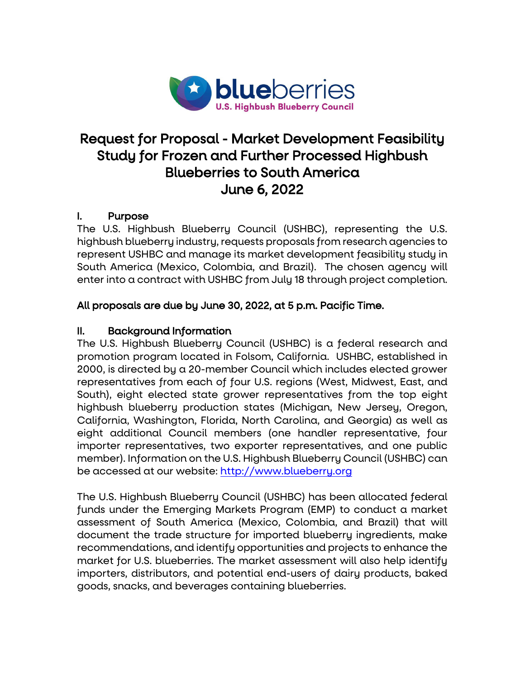

# Request for Proposal - Market Development Feasibility Study for Frozen and Further Processed Highbush Blueberries to South America June 6, 2022

## I. Purpose

The U.S. Highbush Blueberry Council (USHBC), representing the U.S. highbush blueberry industry, requests proposals from research agencies to represent USHBC and manage its market development feasibility study in South America (Mexico, Colombia, and Brazil). The chosen agency will enter into a contract with USHBC from July 18 through project completion.

## All proposals are due by June 30, 2022, at 5 p.m. Pacific Time.

## II. Background Information

The U.S. Highbush Blueberry Council (USHBC) is a federal research and promotion program located in Folsom, California. USHBC, established in 2000, is directed by a 20-member Council which includes elected grower representatives from each of four U.S. regions (West, Midwest, East, and South), eight elected state grower representatives from the top eight highbush blueberry production states (Michigan, New Jersey, Oregon, California, Washington, Florida, North Carolina, and Georgia) as well as eight additional Council members (one handler representative, four importer representatives, two exporter representatives, and one public member). Information on the U.S. Highbush Blueberry Council (USHBC) can be accessed at our website: [http://www.blueberry.org](http://www.blueberry.org/) 

The U.S. Highbush Blueberry Council (USHBC) has been allocated federal funds under the Emerging Markets Program (EMP) to conduct a market assessment of South America (Mexico, Colombia, and Brazil) that will document the trade structure for imported blueberry ingredients, make recommendations, and identify opportunities and projects to enhance the market for U.S. blueberries. The market assessment will also help identify importers, distributors, and potential end-users of dairy products, baked goods, snacks, and beverages containing blueberries.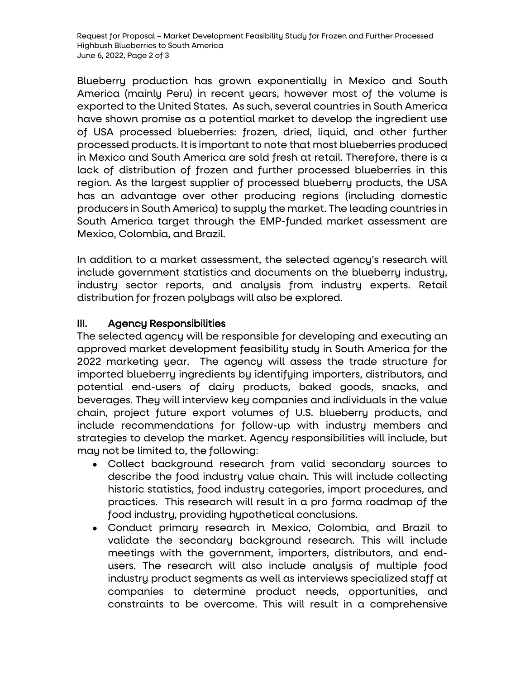Blueberry production has grown exponentially in Mexico and South America (mainly Peru) in recent years, however most of the volume is exported to the United States. As such, several countries in South America have shown promise as a potential market to develop the ingredient use of USA processed blueberries: frozen, dried, liquid, and other further processed products. It is important to note that most blueberries produced in Mexico and South America are sold fresh at retail. Therefore, there is a lack of distribution of frozen and further processed blueberries in this region. As the largest supplier of processed blueberry products, the USA has an advantage over other producing regions (including domestic producers in South America) to supply the market. The leading countries in South America target through the EMP-funded market assessment are Mexico, Colombia, and Brazil.

In addition to a market assessment, the selected agency's research will include government statistics and documents on the blueberry industry, industry sector reports, and analysis from industry experts. Retail distribution for frozen polybags will also be explored.

## III. Agency Responsibilities

The selected agency will be responsible for developing and executing an approved market development feasibility study in South America for the 2022 marketing year. The agency will assess the trade structure for imported blueberry ingredients by identifying importers, distributors, and potential end-users of dairy products, baked goods, snacks, and beverages. They will interview key companies and individuals in the value chain, project future export volumes of U.S. blueberry products, and include recommendations for follow-up with industry members and strategies to develop the market. Agency responsibilities will include, but may not be limited to, the following:

- Collect background research from valid secondary sources to describe the food industry value chain. This will include collecting historic statistics, food industry categories, import procedures, and practices. This research will result in a pro forma roadmap of the food industry, providing hypothetical conclusions.
- Conduct primary research in Mexico, Colombia, and Brazil to validate the secondary background research. This will include meetings with the government, importers, distributors, and endusers. The research will also include analysis of multiple food industry product segments as well as interviews specialized staff at companies to determine product needs, opportunities, and constraints to be overcome. This will result in a comprehensive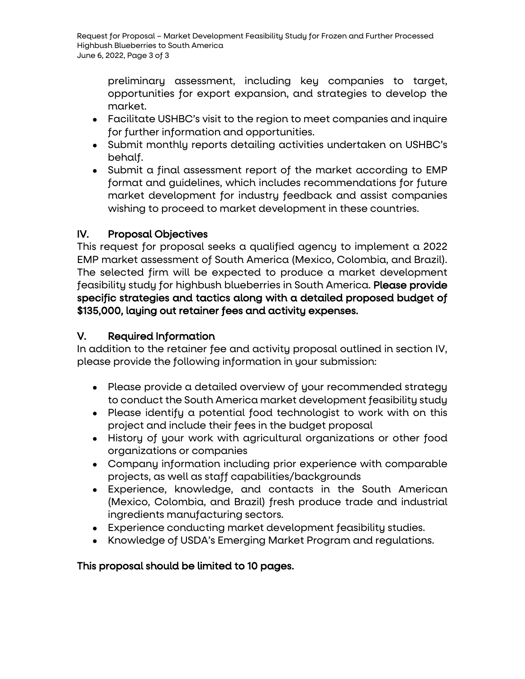preliminary assessment, including key companies to target, opportunities for export expansion, and strategies to develop the market.

- Facilitate USHBC's visit to the region to meet companies and inquire for further information and opportunities.
- Submit monthly reports detailing activities undertaken on USHBC's behalf.
- Submit a final assessment report of the market according to EMP format and guidelines, which includes recommendations for future market development for industry feedback and assist companies wishing to proceed to market development in these countries.

# IV. Proposal Objectives

This request for proposal seeks a qualified agency to implement a 2022 EMP market assessment of South America (Mexico, Colombia, and Brazil). The selected firm will be expected to produce a market development feasibility study for highbush blueberries in South America. Please provide specific strategies and tactics along with a detailed proposed budget of \$135,000, laying out retainer fees and activity expenses.

## V. Required Information

In addition to the retainer fee and activity proposal outlined in section IV, please provide the following information in your submission:

- Please provide a detailed overview of your recommended strategy to conduct the South America market development feasibility study
- Please identify a potential food technologist to work with on this project and include their fees in the budget proposal
- History of your work with agricultural organizations or other food organizations or companies
- Company information including prior experience with comparable projects, as well as staff capabilities/backgrounds
- Experience, knowledge, and contacts in the South American (Mexico, Colombia, and Brazil) fresh produce trade and industrial ingredients manufacturing sectors.
- Experience conducting market development feasibility studies.
- Knowledge of USDA's Emerging Market Program and regulations.

## This proposal should be limited to 10 pages.